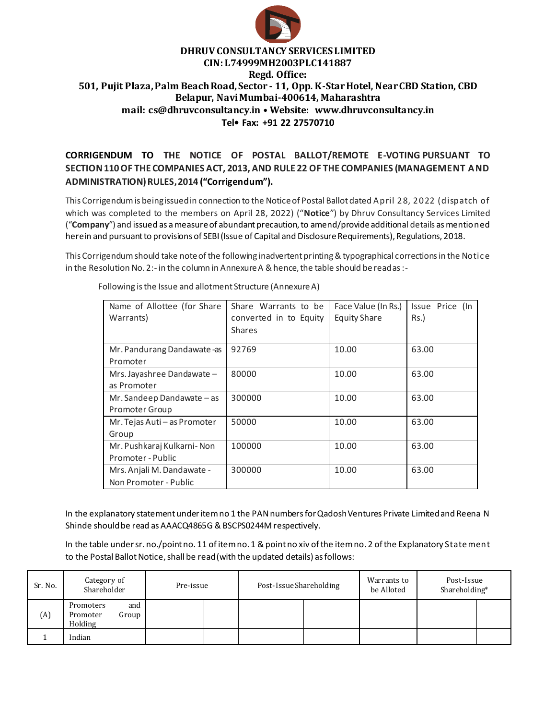

### **DHRUV CONSULTANCY SERVICES LIMITED CIN: L74999MH2003PLC141887 Regd. Office: 501, Pujit Plaza, Palm Beach Road, Sector - 11, Opp. K-Star Hotel, Near CBD Station, CBD Belapur, Navi Mumbai-400614, Maharashtra mail: cs@dhruvconsultancy.in • Website: www.dhruvconsultancy.in Tel• Fax: +91 22 27570710**

## **CORRIGENDUM TO THE NOTICE OF POSTAL BALLOT/REMOTE E-VOTING PURSUANT TO SECTION 110 OF THE COMPANIES ACT, 2013, AND RULE 22 OF THE COMPANIES (MANAGEMENT AND ADMINISTRATION) RULES, 2014 ("Corrigendum").**

This Corrigendum is being issued in connection to the Notice of Postal Ballot dated April 28, 2022 (dispatch of which was completed to the members on April 28, 2022) ("**Notice**") by Dhruv Consultancy Services Limited ("**Company**") and issued as a measure of abundant precaution, to amend/provide additional details as mentioned herein and pursuant to provisions of SEBI (Issue of Capital and Disclosure Requirements), Regulations, 2018.

This Corrigendum should take note of the following inadvertent printing & typographical corrections in the Notice in the Resolution No. 2:- in the column in Annexure A & hence, the table should be read as :-

| Name of Allottee (for Share<br>Warrants)            | Share Warrants to be<br>converted in to Equity<br><b>Shares</b> | Face Value (In Rs.)<br><b>Equity Share</b> | Issue Price (In<br>$Rs.$ ) |
|-----------------------------------------------------|-----------------------------------------------------------------|--------------------------------------------|----------------------------|
| Mr. Pandurang Dandawate -as<br>Promoter             | 92769                                                           | 10.00                                      | 63.00                      |
| Mrs. Jayashree Dandawate -<br>as Promoter           | 80000                                                           | 10.00                                      | 63.00                      |
| Mr. Sandeep Dandawate - as<br>Promoter Group        | 300000                                                          | 10.00                                      | 63.00                      |
| Mr. Tejas Auti - as Promoter<br>Group               | 50000                                                           | 10.00                                      | 63.00                      |
| Mr. Pushkaraj Kulkarni-Non<br>Promoter - Public     | 100000                                                          | 10.00                                      | 63.00                      |
| Mrs. Anjali M. Dandawate -<br>Non Promoter - Public | 300000                                                          | 10.00                                      | 63.00                      |

Following is the Issue and allotment Structure (Annexure A)

In the explanatory statement under item no 1 the PAN numbers for Qadosh Ventures Private Limited and Reena N Shinde should be read as AAACQ4865G & BSCPS0244M respectively.

In the table under sr. no./point no. 11 of item no. 1 & point no xiv of the item no. 2 of the Explanatory State ment to the Postal Ballot Notice, shall be read (with the updated details) as follows:

| Sr. No. | Category of<br>Shareholder                       | Pre-issue | Post-Issue Shareholding | Warrants to<br>be Alloted | Post-Issue<br>Shareholding* |  |
|---------|--------------------------------------------------|-----------|-------------------------|---------------------------|-----------------------------|--|
| (A)     | Promoters<br>and<br>Group<br>Promoter<br>Holding |           |                         |                           |                             |  |
|         | Indian                                           |           |                         |                           |                             |  |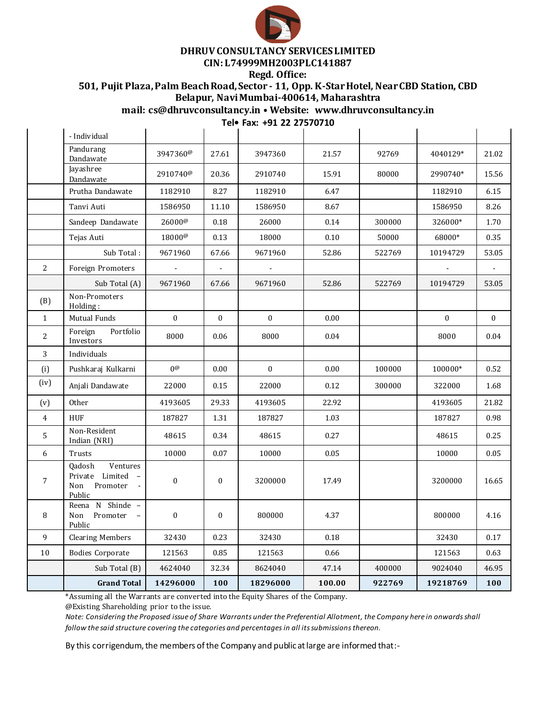

## **DHRUV CONSULTANCY SERVICES LIMITED**

# **CIN: L74999MH2003PLC141887**

**Regd. Office:**

**501, Pujit Plaza, Palm Beach Road, Sector - 11, Opp. K-Star Hotel, Near CBD Station, CBD Belapur, Navi Mumbai-400614, Maharashtra**

**mail: cs@dhruvconsultancy.in • Website: www.dhruvconsultancy.in**

 $\mathcal{L}$ 

**Tel• Fax: +91 22 27570710**

|                | - Individual                                                                             |                      |              |                  |        |        |          |          |
|----------------|------------------------------------------------------------------------------------------|----------------------|--------------|------------------|--------|--------|----------|----------|
|                | Pandurang<br>Dandawate                                                                   | 3947360@             | 27.61        | 3947360          | 21.57  | 92769  | 4040129* | 21.02    |
|                | Jayashree<br>Dandawate                                                                   | 2910740 <sup>@</sup> | 20.36        | 2910740          | 15.91  | 80000  | 2990740* | 15.56    |
|                | Prutha Dandawate                                                                         | 1182910              | 8.27         | 1182910          | 6.47   |        | 1182910  | 6.15     |
|                | Tanvi Auti                                                                               | 1586950              | 11.10        | 1586950          | 8.67   |        | 1586950  | 8.26     |
|                | Sandeep Dandawate                                                                        | $26000^{\circ}$      | 0.18         | 26000            | 0.14   | 300000 | 326000*  | 1.70     |
|                | Tejas Auti                                                                               | 18000 <sup>@</sup>   | 0.13         | 18000            | 0.10   | 50000  | 68000*   | 0.35     |
|                | Sub Total:                                                                               | 9671960              | 67.66        | 9671960          | 52.86  | 522769 | 10194729 | 53.05    |
| 2              | Foreign Promoters                                                                        |                      |              |                  |        |        |          |          |
|                | Sub Total (A)                                                                            | 9671960              | 67.66        | 9671960          | 52.86  | 522769 | 10194729 | 53.05    |
| (B)            | Non-Promoters<br>Holding:                                                                |                      |              |                  |        |        |          |          |
| $\mathbf{1}$   | Mutual Funds                                                                             | $\theta$             | $\bf{0}$     | $\boldsymbol{0}$ | 0.00   |        | $\Omega$ | $\theta$ |
| $\overline{2}$ | Foreign<br>Portfolio<br>Investors                                                        | 8000                 | 0.06         | 8000             | 0.04   |        | 8000     | 0.04     |
| 3              | Individuals                                                                              |                      |              |                  |        |        |          |          |
| (i)            | Pushkaraj Kulkarni                                                                       | $0^\omega$           | 0.00         | $\boldsymbol{0}$ | 0.00   | 100000 | 100000*  | 0.52     |
| (iv)           | Anjali Dandawate                                                                         | 22000                | 0.15         | 22000            | 0.12   | 300000 | 322000   | 1.68     |
| (v)            | Other                                                                                    | 4193605              | 29.33        | 4193605          | 22.92  |        | 4193605  | 21.82    |
| $\overline{4}$ | <b>HUF</b>                                                                               | 187827               | 1.31         | 187827           | 1.03   |        | 187827   | 0.98     |
| 5              | Non-Resident<br>Indian (NRI)                                                             | 48615                | 0.34         | 48615            | 0.27   |        | 48615    | 0.25     |
| 6              | Trusts                                                                                   | 10000                | 0.07         | 10000            | 0.05   |        | 10000    | 0.05     |
| 7              | Ventures<br>Qadosh<br>Private Limited<br>$\sim$<br>Promoter<br>Non<br>$\omega$<br>Public | $\boldsymbol{0}$     | $\mathbf{0}$ | 3200000          | 17.49  |        | 3200000  | 16.65    |
| 8              | Reena N Shinde -<br>Non<br>Promoter<br>$\overline{\phantom{a}}$<br>Public                | $\mathbf{0}$         | $\mathbf{0}$ | 800000           | 4.37   |        | 800000   | 4.16     |
| 9              | <b>Clearing Members</b>                                                                  | 32430                | 0.23         | 32430            | 0.18   |        | 32430    | 0.17     |
| 10             | <b>Bodies Corporate</b>                                                                  | 121563               | 0.85         | 121563           | 0.66   |        | 121563   | 0.63     |
|                | Sub Total (B)                                                                            | 4624040              | 32.34        | 8624040          | 47.14  | 400000 | 9024040  | 46.95    |
|                | <b>Grand Total</b>                                                                       | 14296000             | 100          | 18296000         | 100.00 | 922769 | 19218769 | 100      |
|                |                                                                                          |                      |              |                  |        |        |          |          |

\*Assuming all the Warrants are converted into the Equity Shares of the Company.

@Existing Shareholding prior to the issue.

*Note: Considering the Proposed issue of Share Warrants under the Preferential Allotment, the Company here in onwards shall follow the said structure covering the categories and percentages in all its submissionsthereon.* 

By this corrigendum, the members of the Company and public at large are informed that:-